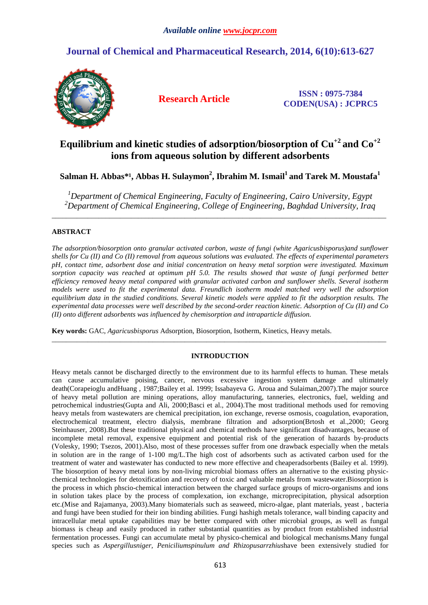# **Journal of Chemical and Pharmaceutical Research, 2014, 6(10):613-627**



**Research Article ISSN : 0975-7384 CODEN(USA) : JCPRC5**

# **Equilibrium and kinetic studies of adsorption/biosorption of Cu+2 and Co+2 ions from aqueous solution by different adsorbents**

## ${\bf S}$ alman  ${\bf H}$ . Abbas\*<sup>1</sup>, Abbas  ${\bf H}$ . Sulaymon $^2$ , Ibrahim  ${\bf M}$ . Ismail $^1$  and Tarek  ${\bf M}$ . Moustafa $^1$

*<sup>1</sup>Department of Chemical Engineering, Faculty of Engineering, Cairo University, Egypt <sup>2</sup>Department of Chemical Engineering, College of Engineering, Baghdad University, Iraq* 

 $\overline{a}$  , and the contribution of the contribution of the contribution of the contribution of the contribution of the contribution of the contribution of the contribution of the contribution of the contribution of the co

## **ABSTRACT**

*The adsorption/biosorption onto granular activated carbon, waste of fungi (white Agaricusbisporus)and sunflower shells for Cu (II) and Co (II) removal from aqueous solutions was evaluated. The effects of experimental parameters pH, contact time, adsorbent dose and initial concentration on heavy metal sorption were investigated. Maximum sorption capacity was reached at optimum pH 5.0. The results showed that waste of fungi performed better efficiency removed heavy metal compared with granular activated carbon and sunflower shells. Several isotherm models were used to fit the experimental data. Freundlich isotherm model matched very well the adsorption equilibrium data in the studied conditions. Several kinetic models were applied to fit the adsorption results. The experimental data processes were well described by the second-order reaction kinetic. Adsorption of Cu (II) and Co (II) onto different adsorbents was influenced by chemisorption and intraparticle diffusion.* 

**Key words:** GAC, *Agaricusbisporus* Adsorption, Biosorption, Isotherm, Kinetics, Heavy metals.

## **INTRODUCTION**

 $\overline{a}$  , and the contribution of the contribution of the contribution of the contribution of the contribution of the contribution of the contribution of the contribution of the contribution of the contribution of the co

Heavy metals cannot be discharged directly to the environment due to its harmful effects to human. These metals can cause accumulative poising, cancer, nervous excessive ingestion system damage and ultimately death(Corapeioglu andHuang , 1987;Bailey et al. 1999; Issabayeva G. Aroua and Sulaiman,2007).The major source of heavy metal pollution are mining operations, alloy manufacturing, tanneries, electronics, fuel, welding and petrochemical industries(Gupta and Ali, 2000;Basci et al., 2004).The most traditional methods used for removing heavy metals from wastewaters are chemical precipitation, ion exchange, reverse osmosis, coagulation, evaporation, electrochemical treatment, electro dialysis, membrane filtration and adsorption(Brtosh et al.,2000; Georg Steinhauser, 2008).But these traditional physical and chemical methods have significant disadvantages, because of incomplete metal removal, expensive equipment and potential risk of the generation of hazards by-products (Volesky, 1990; Tsezos, 2001).Also, most of these processes suffer from one drawback especially when the metals in solution are in the range of 1-100 mg/L.The high cost of adsorbents such as activated carbon used for the treatment of water and wastewater has conducted to new more effective and cheaperadsorbents (Bailey et al. 1999). The biosorption of heavy metal ions by non-living microbial biomass offers an alternative to the existing physicchemical technologies for detoxification and recovery of toxic and valuable metals from wastewater.Biosorption is the process in which phscio-chemical interaction between the charged surface groups of micro-organisms and ions in solution takes place by the process of complexation, ion exchange, microprecipitation, physical adsorption etc.(Mise and Rajamanya, 2003).Many biomaterials such as seaweed, micro-algae, plant materials, yeast , bacteria and fungi have been studied for their ion binding abilities. Fungi hashigh metals tolerance, wall binding capacity and intracellular metal uptake capabilities may be better compared with other microbial groups, as well as fungal biomass is cheap and easily produced in rather substantial quantities as by product from established industrial fermentation processes. Fungi can accumulate metal by physico-chemical and biological mechanisms.Many fungal species such as *Aspergillusniger, Peniciliumspinulum and Rhizopusarrzhius*have been extensively studied for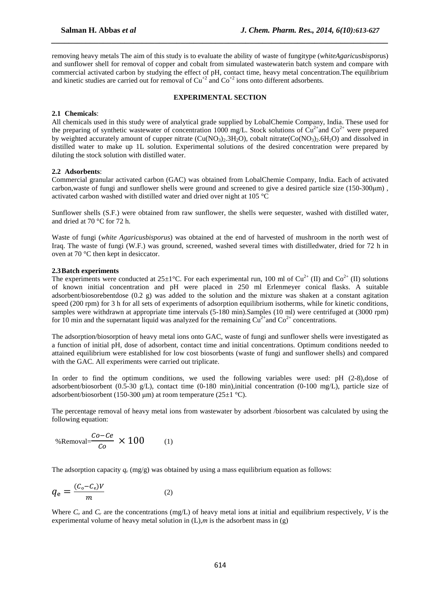removing heavy metals The aim of this study is to evaluate the ability of waste of fungitype (*whiteAgaricusbisp*orus) and sunflower shell for removal of copper and cobalt from simulated wastewaterin batch system and compare with commercial activated carbon by studying the effect of pH, contact time, heavy metal concentration.The equilibrium and kinetic studies are carried out for removal of  $Cu^{+2}$  and  $Co^{+2}$  ions onto different adsorbents.

*\_\_\_\_\_\_\_\_\_\_\_\_\_\_\_\_\_\_\_\_\_\_\_\_\_\_\_\_\_\_\_\_\_\_\_\_\_\_\_\_\_\_\_\_\_\_\_\_\_\_\_\_\_\_\_\_\_\_\_\_\_\_\_\_\_\_\_\_\_\_\_\_\_\_\_\_\_\_*

## **EXPERIMENTAL SECTION**

## **2.1 Chemicals**:

All chemicals used in this study were of analytical grade supplied by LobalChemie Company, India. These used for the preparing of synthetic wastewater of concentration 1000 mg/L. Stock solutions of  $Cu^{2+}$  and  $Co^{2+}$  were prepared by weighted accurately amount of cupper nitrate  $(Cu(NO<sub>3</sub>)<sub>2</sub>.3H<sub>2</sub>O)$ , cobalt nitrate( $Co(NO<sub>3</sub>)<sub>2</sub>.6H<sub>2</sub>O)$ ) and dissolved in distilled water to make up 1L solution. Experimental solutions of the desired concentration were prepared by diluting the stock solution with distilled water.

## **2.2 Adsorbents**:

Commercial granular activated carbon (GAC) was obtained from LobalChemie Company, India. Each of activated carbon, waste of fungi and sunflower shells were ground and screened to give a desired particle size (150-300um). activated carbon washed with distilled water and dried over night at 105 °C

Sunflower shells (S.F.) were obtained from raw sunflower, the shells were sequester, washed with distilled water, and dried at 70 °C for 72 h.

Waste of fungi (*white Agaricusbisporus*) was obtained at the end of harvested of mushroom in the north west of Iraq. The waste of fungi (W.F.) was ground, screened, washed several times with distilledwater, dried for 72 h in oven at 70 °C then kept in desiccator.

### **2.3Batch experiments**

The experiments were conducted at  $25\pm1^{\circ}$ C. For each experimental run, 100 ml of Cu<sup>2+</sup> (II) and Co<sup>2+</sup> (II) solutions of known initial concentration and pH were placed in 250 ml Erlenmeyer conical flasks. A suitable adsorbent/biosorebentdose (0.2 g) was added to the solution and the mixture was shaken at a constant agitation speed (200 rpm) for 3 h for all sets of experiments of adsorption equilibrium isotherms, while for kinetic conditions, samples were withdrawn at appropriate time intervals (5-180 min).Samples (10 ml) were centrifuged at (3000 rpm) for 10 min and the supernatant liquid was analyzed for the remaining  $Cu^{2+}$  and  $Co^{2+}$  concentrations.

The adsorption/biosorption of heavy metal ions onto GAC, waste of fungi and sunflower shells were investigated as a function of initial pH, dose of adsorbent, contact time and initial concentrations. Optimum conditions needed to attained equilibrium were established for low cost biosorbents (waste of fungi and sunflower shells) and compared with the GAC. All experiments were carried out triplicate.

In order to find the optimum conditions, we used the following variables were used: pH (2-8),dose of adsorbent/biosorbent (0.5-30 g/L), contact time (0-180 min),initial concentration (0-100 mg/L), particle size of adsorbent/biosorbent (150-300 µm) at room temperature (25 $\pm$ 1 °C).

The percentage removal of heavy metal ions from wastewater by adsorbent /biosorbent was calculated by using the following equation:

$$
\%Removal = \frac{Co - Ce}{Co} \times 100 \tag{1}
$$

The adsorption capacity  $q_{\ell}$  (mg/g) was obtained by using a mass equilibrium equation as follows:

$$
q_{\rm e} = \frac{(C_{\rm o} - C_{\rm e})V}{m} \tag{2}
$$

Where  $C_{\rho}$  and  $C_{\rho}$  are the concentrations (mg/L) of heavy metal ions at initial and equilibrium respectively, *V* is the experimental volume of heavy metal solution in  $(L)$ , *m* is the adsorbent mass in  $(g)$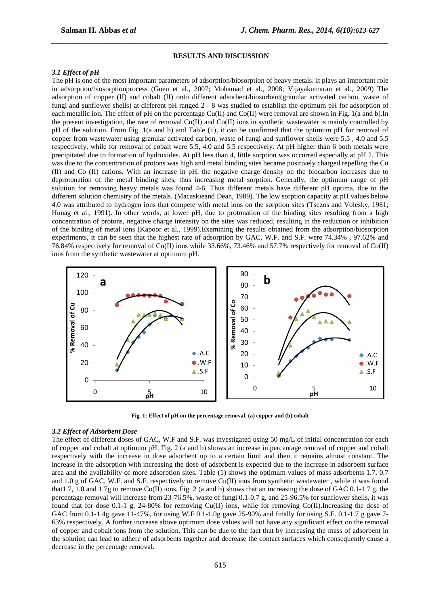#### **RESULTS AND DISCUSSION**

*\_\_\_\_\_\_\_\_\_\_\_\_\_\_\_\_\_\_\_\_\_\_\_\_\_\_\_\_\_\_\_\_\_\_\_\_\_\_\_\_\_\_\_\_\_\_\_\_\_\_\_\_\_\_\_\_\_\_\_\_\_\_\_\_\_\_\_\_\_\_\_\_\_\_\_\_\_\_*

#### *3.1 Effect of pH*

The pH is one of the most important parameters of adsorption/biosorption of heavy metals. It plays an important role in adsorption/biosorptionprocess (Gueu et al., 2007; Mohamad et al., 2008; Vijayakumaran et al., 2009) The adsorption of copper (II) and cobalt (II) onto different adsorbent/biosorbent(granular activated carbon, waste of fungi and sunflower shells) at different pH ranged 2 - 8 was studied to establish the optimum pH for adsorption of each metallic ion. The effect of pH on the percentage Cu(II) and Co(II) were removal are shown in Fig. 1(a and b).In the present investigation, the rate of removal Cu(II) and Co(II) ions in synthetic wastewater is mainly controlled by pH of the solution. From Fig. 1(a and b) and Table (1), it can be confirmed that the optimum pH for removal of copper from wastewater using granular activated carbon, waste of fungi and sunflower shells were 5.5 , 4.0 and 5.5 respectively, while for removal of cobalt were 5.5, 4.0 and 5.5 respectively. At pH higher than 6 both metals were precipitated due to formation of hydroxides. At pH less than 4, little sorption was occurred especially at pH 2. This was due to the concentration of protons was high and metal binding sites became positively charged repelling the Cu (II) and Co (II) cations. With an increase in pH, the negative charge density on the biocarbon increases due to deprotonation of the metal binding sites, thus increasing metal sorption. Generally, the optimum range of pH solution for removing heavy metals was found 4-6. Thus different metals have different pH optima, due to the different solution chemistry of the metals. (Macaskieand Dean, 1989). The low sorption capacity at pH values below 4.0 was attributed to hydrogen ions that compete with metal ions on the sorption sites (Tsezos and Volesky, 1981; Hunag et al., 1991). In other words, at lower pH, due to protonation of the binding sites resulting from a high concentration of protons, negative charge intensity on the sites was reduced, resulting in the reduction or inhibition of the binding of metal ions (Kapoor et al., 1999).Examining the results obtained from the adsorption/biosorption experiments, it can be seen that the highest rate of adsorption by GAC, W.F. and S.F. were 74.34% , 97.62% and 76.84% respectively for removal of Cu(II) ions while 33.66%, 73.46% and 57.7% respectively for removal of Co(II) ions from the synthetic wastewater at optimum pH.



**Fig. 1: Effect of pH on the percentage removal, (a) copper and (b) cobalt** 

#### *3.2 Effect of Adsorbent Dose*

The effect of different doses of GAC, W.F and S.F. was investigated using 50 mg/L of initial concentration for each of copper and cobalt at optimum pH. Fig. 2 (a and b) shows an increase in percentage removal of copper and cobalt respectively with the increase in dose adsorbent up to a certain limit and then it remains almost constant. The increase in the adsorption with increasing the dose of adsorbent is expected due to the increase in adsorbent surface area and the availability of more adsorption sites. Table (1) shows the optimum values of mass adsorbents 1.7, 0.7 and 1.0 g of GAC, W.F. and S.F. respectively to remove Cu(II) ions from synthetic wastewater , while it was found that 1.7, 1.0 and 1.7g to remove Co(II) ions. Fig. 2 (a and b) shows that an increasing the dose of GAC 0.1-1.7 g, the percentage removal will increase from 23-76.5%, waste of fungi 0.1-0.7 g, and 25-96.5% for sunflower shells, it was found that for dose 0.1-1 g, 24-80% for removing Cu(II) ions, while for removing Co(II).Increasing the dose of GAC from  $0.1$ -1.4g gave  $11$ -47%, for using W.F  $0.1$ -1.0g gave 25-90% and finally for using S.F.  $0.1$ -1.7 g gave 7-63% respectively. A further increase above optimum dose values will not have any significant effect on the removal of copper and cobalt ions from the solution. This can be due to the fact that by increasing the mass of adsorbent in the solution can lead to adhere of adsorbents together and decrease the contact surfaces which consequently cause a decrease in the percentage removal.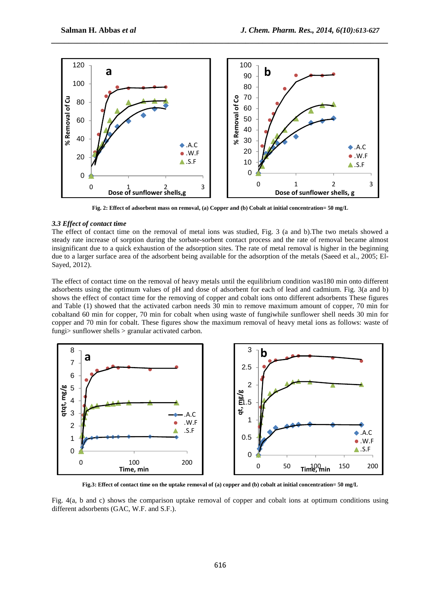

*\_\_\_\_\_\_\_\_\_\_\_\_\_\_\_\_\_\_\_\_\_\_\_\_\_\_\_\_\_\_\_\_\_\_\_\_\_\_\_\_\_\_\_\_\_\_\_\_\_\_\_\_\_\_\_\_\_\_\_\_\_\_\_\_\_\_\_\_\_\_\_\_\_\_\_\_\_\_*

**Fig. 2: Effect of adsorbent mass on removal, (a) Copper and (b) Cobalt at initial concentration= 50 mg/L** 

### *3.3 Effect of contact time*

The effect of contact time on the removal of metal ions was studied, Fig. 3 (a and b).The two metals showed a steady rate increase of sorption during the sorbate-sorbent contact process and the rate of removal became almost insignificant due to a quick exhaustion of the adsorption sites. The rate of metal removal is higher in the beginning due to a larger surface area of the adsorbent being available for the adsorption of the metals (Saeed et al., 2005; El-Sayed, 2012).

The effect of contact time on the removal of heavy metals until the equilibrium condition was180 min onto different adsorbents using the optimum values of pH and dose of adsorbent for each of lead and cadmium. Fig. 3(a and b) shows the effect of contact time for the removing of copper and cobalt ions onto different adsorbents These figures and Table (1) showed that the activated carbon needs 30 min to remove maximum amount of copper, 70 min for cobaltand 60 min for copper, 70 min for cobalt when using waste of fungiwhile sunflower shell needs 30 min for copper and 70 min for cobalt. These figures show the maximum removal of heavy metal ions as follows: waste of fungi> sunflower shells > granular activated carbon.



**Fig.3: Effect of contact time on the uptake removal of (a) copper and (b) cobalt at initial concentration= 50 mg/L** 

Fig. 4(a, b and c) shows the comparison uptake removal of copper and cobalt ions at optimum conditions using different adsorbents (GAC, W.F. and S.F.).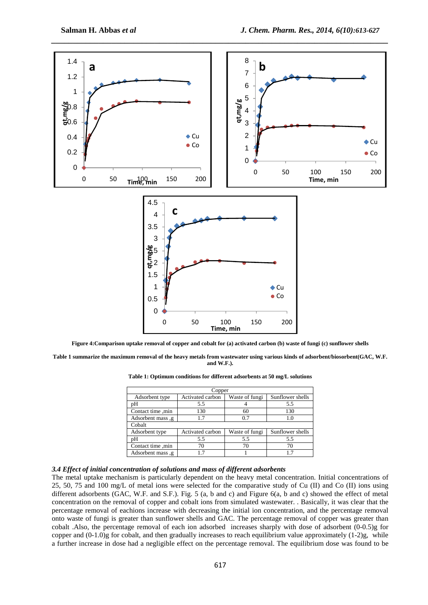

**Figure 4:Comparison uptake removal of copper and cobalt for (a) activated carbon (b) waste of fungi (c) sunflower shells** 

**Table 1 summarize the maximum removal of the heavy metals from wastewater using various kinds of adsorbent/biosorbent(GAC, W.F. and W.F.).** 

| Copper            |                  |                |                  |  |  |  |  |
|-------------------|------------------|----------------|------------------|--|--|--|--|
| Adsorbent type    | Activated carbon | Waste of fungi | Sunflower shells |  |  |  |  |
| nΗ                | 5.5              |                | 5.5              |  |  |  |  |
| Contact time, min | 130              | 60             | 130              |  |  |  |  |
| Adsorbent mass, g | 1.7              | 0.7            | 1.0              |  |  |  |  |
| Cobalt            |                  |                |                  |  |  |  |  |
| Adsorbent type    | Activated carbon | Waste of fungi | Sunflower shells |  |  |  |  |
| pН                | 5.5              | 5.5            | 5.5              |  |  |  |  |
| Contact time ,min | 70               |                | 70               |  |  |  |  |
| Adsorbent mass, g |                  |                |                  |  |  |  |  |

**Table 1: Optimum conditions for different adsorbents at 50 mg/L solutions** 

## *3.4 Effect of initial concentration of solutions and mass of different adsorbents*

The metal uptake mechanism is particularly dependent on the heavy metal concentration. Initial concentrations of 25, 50, 75 and 100 mg/L of metal ions were selected for the comparative study of Cu (II) and Co (II) ions using different adsorbents (GAC, W.F. and S.F.). Fig. 5 (a, b and c) and Figure 6(a, b and c) showed the effect of metal concentration on the removal of copper and cobalt ions from simulated wastewater. . Basically, it was clear that the percentage removal of eachions increase with decreasing the initial ion concentration, and the percentage removal onto waste of fungi is greater than sunflower shells and GAC. The percentage removal of copper was greater than cobalt .Also, the percentage removal of each ion adsorbed increases sharply with dose of adsorbent (0-0.5)g for copper and  $(0-1.0)$ g for cobalt, and then gradually increases to reach equilibrium value approximately  $(1-2)$ g, while a further increase in dose had a negligible effect on the percentage removal. The equilibrium dose was found to be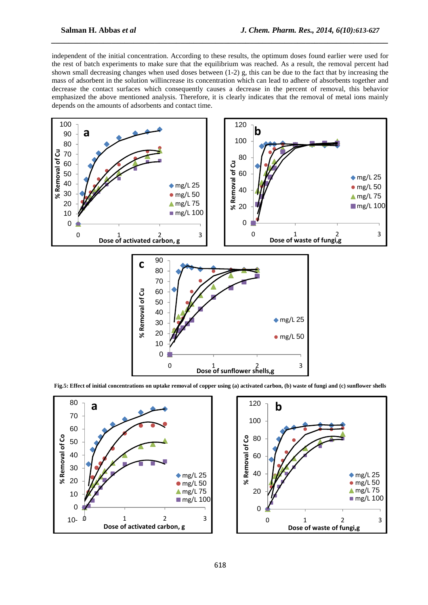independent of the initial concentration. According to these results, the optimum doses found earlier were used for the rest of batch experiments to make sure that the equilibrium was reached. As a result, the removal percent had shown small decreasing changes when used doses between (1-2) g, this can be due to the fact that by increasing the mass of adsorbent in the solution willincrease its concentration which can lead to adhere of absorbents together and decrease the contact surfaces which consequently causes a decrease in the percent of removal, this behavior emphasized the above mentioned analysis. Therefore, it is clearly indicates that the removal of metal ions mainly depends on the amounts of adsorbents and contact time.

*\_\_\_\_\_\_\_\_\_\_\_\_\_\_\_\_\_\_\_\_\_\_\_\_\_\_\_\_\_\_\_\_\_\_\_\_\_\_\_\_\_\_\_\_\_\_\_\_\_\_\_\_\_\_\_\_\_\_\_\_\_\_\_\_\_\_\_\_\_\_\_\_\_\_\_\_\_\_*



**Fig.5: Effect of initial concentrations on uptake removal of copper using (a) activated carbon, (b) waste of fungi and (c) sunflower shells** 



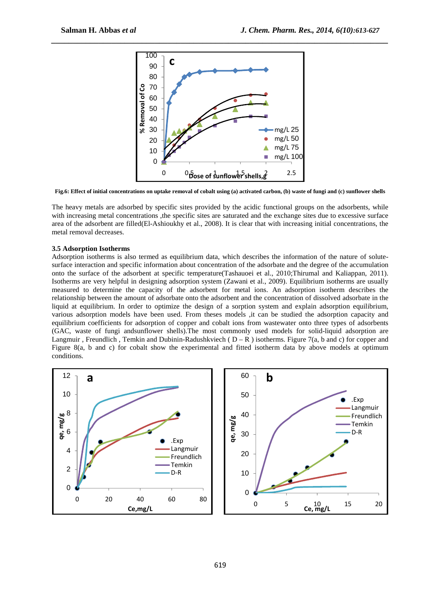

**Fig.6: Effect of initial concentrations on uptake removal of cobalt using (a) activated carbon, (b) waste of fungi and (c) sunflower shells** 

The heavy metals are adsorbed by specific sites provided by the acidic functional groups on the adsorbents, while with increasing metal concentrations , the specific sites are saturated and the exchange sites due to excessive surface area of the adsorbent are filled(El-Ashioukhy et al., 2008). It is clear that with increasing initial concentrations, the metal removal decreases.

## **3.5 Adsorption Isotherms**

Adsorption isotherms is also termed as equilibrium data, which describes the information of the nature of solutesurface interaction and specific information about concentration of the adsorbate and the degree of the accumulation onto the surface of the adsorbent at specific temperature(Tashauoei et al., 2010;Thirumal and Kaliappan, 2011). Isotherms are very helpful in designing adsorption system (Zawani et al., 2009). Equilibrium isotherms are usually measured to determine the capacity of the adsorbent for metal ions. An adsorption isotherm describes the relationship between the amount of adsorbate onto the adsorbent and the concentration of dissolved adsorbate in the liquid at equilibrium. In order to optimize the design of a sorption system and explain adsorption equilibrium, various adsorption models have been used. From theses models ,it can be studied the adsorption capacity and equilibrium coefficients for adsorption of copper and cobalt ions from wastewater onto three types of adsorbents (GAC, waste of fungi andsunflower shells).The most commonly used models for solid-liquid adsorption are Langmuir , Freundlich , Temkin and Dubinin-Radushkviech  $(D - R)$  isotherms. Figure 7(a, b and c) for copper and Figure 8(a, b and c) for cobalt show the experimental and fitted isotherm data by above models at optimum conditions.

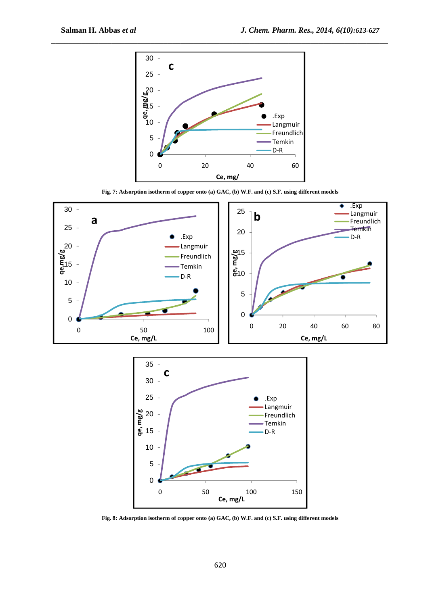

**Fig. 7: Adsorption isotherm of copper onto (a) GAC, (b) W.F. and (c) S.F. using different models** 





**Fig. 8: Adsorption isotherm of copper onto (a) GAC, (b) W.F. and (c) S.F. using different models**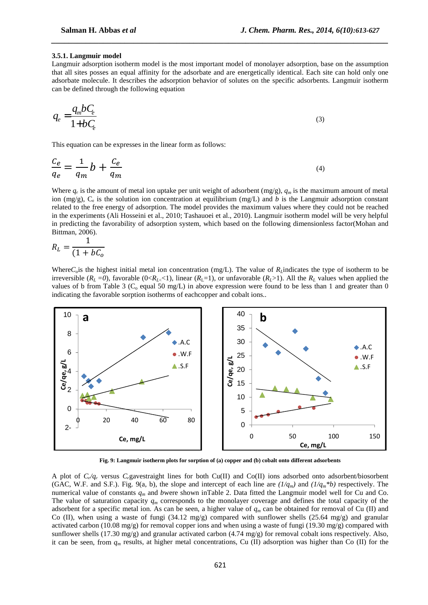#### **3.5.1. Langmuir model**

Langmuir adsorption isotherm model is the most important model of monolayer adsorption, base on the assumption that all sites posses an equal affinity for the adsorbate and are energetically identical. Each site can hold only one adsorbate molecule. It describes the adsorption behavior of solutes on the specific adsorbents. Langmuir isotherm can be defined through the following equation

*\_\_\_\_\_\_\_\_\_\_\_\_\_\_\_\_\_\_\_\_\_\_\_\_\_\_\_\_\_\_\_\_\_\_\_\_\_\_\_\_\_\_\_\_\_\_\_\_\_\_\_\_\_\_\_\_\_\_\_\_\_\_\_\_\_\_\_\_\_\_\_\_\_\_\_\_\_\_*

$$
q_e = \frac{q_m b C_e}{1 + b C_e} \tag{3}
$$

This equation can be expresses in the linear form as follows:

$$
\frac{c_e}{q_e} = \frac{1}{q_m} b + \frac{c_e}{q_m} \tag{4}
$$

Where  $q_e$  is the amount of metal ion uptake per unit weight of adsorbent (mg/g),  $q_m$  is the maximum amount of metal ion (mg/g),  $C_e$  is the solution ion concentration at equilibrium (mg/L) and *b* is the Langmuir adsorption constant related to the free energy of adsorption. The model provides the maximum values where they could not be reached in the experiments (Ali Hosseini et al., 2010; Tashauoei et al., 2010). Langmuir isotherm model will be very helpful in predicting the favorability of adsorption system, which based on the following dimensionless factor(Mohan and Bittman, 2006).

$$
R_L = \frac{1}{(1 + bC_o)}
$$

Where  $C_0$  is the highest initial metal ion concentration (mg/L). The value of  $R_l$  indicates the type of isotherm to be irreversible  $(R_L = 0)$ , favorable  $(0 < R_L < 1)$ , linear  $(R_L = 1)$ , or unfavorable  $(R_L > 1)$ . All the  $R_L$  values when applied the values of b from Table 3 ( $C_0$  equal 50 mg/L) in above expression were found to be less than 1 and greater than 0 indicating the favorable sorption isotherms of eachcopper and cobalt ions..

![](_page_8_Figure_10.jpeg)

**Fig. 9: Langmuir isotherm plots for sorption of (a) copper and (b) cobalt onto different adsorbents** 

A plot of  $C_e/q_e$  versus  $C_e$ gavestraight lines for both Cu(II) and Co(II) ions adsorbed onto adsorbent/biosorbent (GAC, W.F. and S.F.). Fig. 9(a, b), the slope and intercept of each line are  $(1/q_m)$  and  $(1/q_m * b)$  respectively. The numerical value of constants *qm* and *b*were shown inTable 2. Data fitted the Langmuir model well for Cu and Co. The value of saturation capacity *qm* corresponds to the monolayer coverage and defines the total capacity of the adsorbent for a specific metal ion. As can be seen, a higher value of  $q_m$  can be obtained for removal of Cu (II) and Co (II), when using a waste of fungi  $(34.12 \text{ mg/g})$  compared with sunflower shells  $(25.64 \text{ mg/g})$  and granular activated carbon (10.08 mg/g) for removal copper ions and when using a waste of fungi (19.30 mg/g) compared with sunflower shells (17.30 mg/g) and granular activated carbon (4.74 mg/g) for removal cobalt ions respectively. Also, it can be seen, from *qm* results, at higher metal concentrations, Cu (II) adsorption was higher than Co (II) for the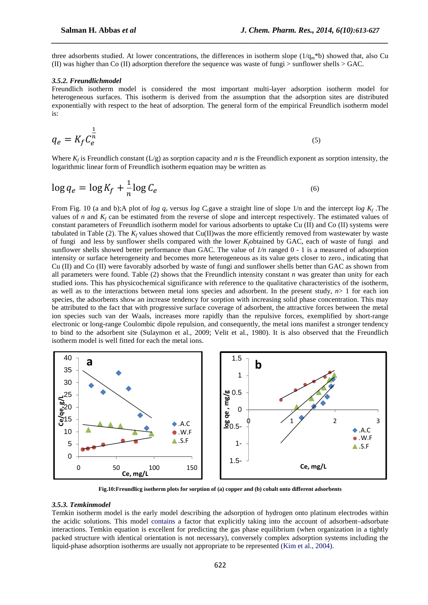three adsorbents studied. At lower concentrations, the differences in isotherm slope  $(1/q_m*)$  showed that, also Cu (II) was higher than Co (II) adsorption therefore the sequence was waste of fungi > sunflower shells > GAC.

*\_\_\_\_\_\_\_\_\_\_\_\_\_\_\_\_\_\_\_\_\_\_\_\_\_\_\_\_\_\_\_\_\_\_\_\_\_\_\_\_\_\_\_\_\_\_\_\_\_\_\_\_\_\_\_\_\_\_\_\_\_\_\_\_\_\_\_\_\_\_\_\_\_\_\_\_\_\_*

#### *3.5.2. Freundlichmodel*

Freundlich isotherm model is considered the most important multi-layer adsorption isotherm model for heterogeneous surfaces. This isotherm is derived from the assumption that the adsorption sites are distributed exponentially with respect to the heat of adsorption. The general form of the empirical Freundlich isotherm model is:

$$
q_e = K_f C_e^{\frac{1}{n}}
$$

Where  $K_f$  is Freundlich constant ( $L/g$ ) as sorption capacity and *n* is the Freundlich exponent as sorption intensity, the logarithmic linear form of Freundlich isotherm equation may be written as

$$
\log q_e = \log K_f + \frac{1}{n} \log C_e \tag{6}
$$

From Fig. 10 (a and b); A plot of *log*  $q_e$  versus *log*  $C_e$ gave a straight line of slope 1/n and the intercept *log*  $K_f$ . The values of  $n$  and  $K_f$  can be estimated from the reverse of slope and intercept respectively. The estimated values of constant parameters of Freundlich isotherm model for various adsorbents to uptake Cu (II) and Co (II) systems were tabulated in Table (2). The  $K_f$  values showed that Cu(II)was the more efficiently removed from wastewater by waste of fungi and less by sunflower shells compared with the lower *Kf*obtained by GAC, each of waste of fungi and sunflower shells showed better performance than GAC. The value of  $1/n$  ranged 0 - 1 is a measured of adsorption intensity or surface heterogeneity and becomes more heterogeneous as its value gets closer to zero., indicating that Cu (II) and Co (II) were favorably adsorbed by waste of fungi and sunflower shells better than GAC as shown from all parameters were found. Table (2) shows that the Freundlich intensity constant *n* was greater than unity for each studied ions. This has physicochemical significance with reference to the qualitative characteristics of the isotherm, as well as to the interactions between metal ions species and adsorbent. In the present study,  $n > 1$  for each ion species, the adsorbents show an increase tendency for sorption with increasing solid phase concentration. This may be attributed to the fact that with progressive surface coverage of adsorbent, the attractive forces between the metal ion species such van der Waals, increases more rapidly than the repulsive forces, exemplified by short-range electronic or long-range Coulombic dipole repulsion, and consequently, the metal ions manifest a stronger tendency to bind to the adsorbent site (Sulaymon et al., 2009; Velit et al., 1980). It is also observed that the Freundlich isotherm model is well fitted for each the metal ions.

![](_page_9_Figure_9.jpeg)

**Fig.10:Freundlicg isotherm plots for sorption of (a) copper and (b) cobalt onto different adsorbents** 

#### *3.5.3. Temkinmodel*

Temkin isotherm model is the early model describing the adsorption of hydrogen onto platinum electrodes within the acidic solutions. This model contains a factor that explicitly taking into the account of adsorbent–adsorbate interactions. Temkin equation is excellent for predicting the gas phase equilibrium (when organization in a tightly packed structure with identical orientation is not necessary), conversely complex adsorption systems including the liquid-phase adsorption isotherms are usually not appropriate to be represented (Kim et al., 2004).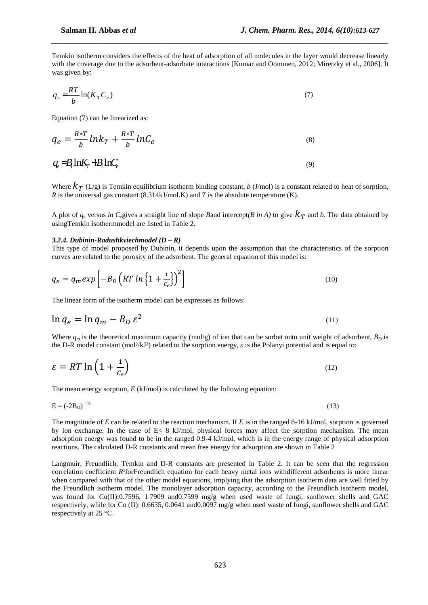Temkin isotherm considers the effects of the heat of adsorption of all molecules in the layer would decrease linearly with the coverage due to the adsorbent-adsorbate interactions [Kumar and Oommen, 2012; Miretzky et al., 2006]. It was given by:

*\_\_\_\_\_\_\_\_\_\_\_\_\_\_\_\_\_\_\_\_\_\_\_\_\_\_\_\_\_\_\_\_\_\_\_\_\_\_\_\_\_\_\_\_\_\_\_\_\_\_\_\_\_\_\_\_\_\_\_\_\_\_\_\_\_\_\_\_\_\_\_\_\_\_\_\_\_\_*

$$
q_e = \frac{RT}{b} \ln(K_T C_e) \tag{7}
$$

Equation (7) can be linearized as:

$$
q_e = \frac{R \cdot T}{b} ln k_T + \frac{R \cdot T}{b} ln C_e \tag{8}
$$

$$
q_e = B_1 \ln K_T + B_1 \ln C_e \tag{9}
$$

Where  $k_T$  (L/g) is Temkin equilibrium isotherm binding constant, *b* (J/mol) is a constant related to heat of sorption, *R* is the universal gas constant (8.314kJ/mol.K) and *T* is the absolute temperature (K).

A plot of  $q_e$  versus *ln C<sub>e</sub>*gives a straight line of slope *B*and intercept(*B ln A)* to give  $k_T$  and *b*. The data obtained by usingTemkin isothermmodel are listed in Table 2.

### *3.2.4. Dubinin-Radushkviechmodel (D – R)*

This type of model proposed by Dubinin, it depends upon the assumption that the characteristics of the sorption curves are related to the porosity of the adsorbent. The general equation of this model is:

$$
q_e = q_m exp\left[-B_D \left(RT \ln\left\{1 + \frac{1}{c_e}\right\}\right)^2\right] \tag{10}
$$

The linear form of the isotherm model can be expresses as follows:

$$
\ln q_e = \ln q_m - B_D \,\varepsilon^2 \tag{11}
$$

Where  $q_m$  is the theoretical maximum capacity (mol/g) of ion that can be sorbet onto unit weight of adsorbent,  $B_D$  is the D-R model constant (mol<sup>2</sup>/kJ<sup>2</sup>) related to the sorption energy,  $\varepsilon$  is the Polanyi potential and is equal to:

$$
\varepsilon = RT \ln \left( 1 + \frac{1}{c_e} \right) \tag{12}
$$

The mean energy sorption, *E* (kJ/mol) is calculated by the following equation:

$$
E = (-2B_D)^{-1/2} \tag{13}
$$

The magnitude of *E* can be related to the reaction mechanism. If *E* is in the ranged 8-16 kJ/mol, sorption is governed by ion exchange. In the case of E< 8 kJ/mol, physical forces may affect the sorption mechanism. The mean adsorption energy was found to be in the ranged 0.9-4 kJ/mol, which is in the energy range of physical adsorption reactions. The calculated D-R constants and mean free energy for adsorption are shown in Table 2

Langmuir, Freundlich, Temkin and D-R constants are presented in Table 2. It can be seen that the regression correlation coefficient *R²*forFreundlich equation for each heavy metal ions withdifferent adsorbents is more linear when compared with that of the other model equations, implying that the adsorption isotherm data are well fitted by the Freundlich isotherm model. The monolayer adsorption capacity, according to the Freundlich isotherm model, was found for Cu(II):0.7596, 1.7909 and0.7599 mg/g when used waste of fungi, sunflower shells and GAC respectively, while for Co (II): 0.6635, 0.0641 and0.0097 mg/g when used waste of fungi, sunflower shells and GAC respectively at 25 °C.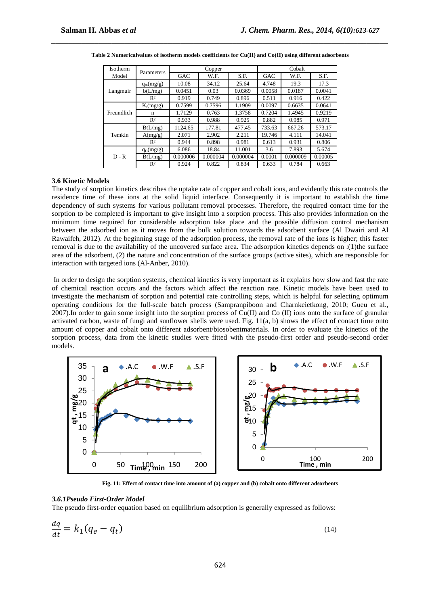| Isotherm   |                | Copper     |          |          | Cobalt     |          |         |
|------------|----------------|------------|----------|----------|------------|----------|---------|
| Model      | Parameters     | <b>GAC</b> | W.F.     | S.F.     | <b>GAC</b> | W.F.     | S.F.    |
| Langmuir   | $q_m(mg/g)$    | 10.08      | 34.12    | 25.64    | 4.748      | 19.3     | 17.3    |
|            | b(L/mg)        | 0.0451     | 0.03     | 0.0369   | 0.0058     | 0.0187   | 0.0041  |
|            | R <sup>2</sup> | 0.919      | 0.749    | 0.896    | 0.511      | 0.916    | 0.422   |
| Freundlich | $K_f(mg/g)$    | 0.7599     | 0.7596   | 1.1909   | 0.0097     | 0.6635   | 0.0641  |
|            | n              | 1.7129     | 0.763    | 1.3758   | 0.7204     | 1.4945   | 0.9219  |
|            | R <sup>2</sup> | 0.933      | 0.988    | 0.925    | 0.882      | 0.985    | 0.971   |
| Temkin     | B(L/mg)        | 1124.65    | 177.81   | 477.45   | 733.63     | 667.26   | 573.17  |
|            | A(mg/g)        | 2.071      | 2.902    | 2.211    | 19.746     | 4.111    | 14.041  |
|            | R <sup>2</sup> | 0.944      | 0.898    | 0.981    | 0.613      | 0.931    | 0.806   |
| $D - R$    | $q_D(mg/g)$    | 6.086      | 18.84    | 11.001   | 3.6        | 7.893    | 5.674   |
|            | B(L/mg)        | 0.000006   | 0.000004 | 0.000004 | 0.0001     | 0.000009 | 0.00005 |
|            | R <sup>2</sup> | 0.924      | 0.822    | 0.834    | 0.633      | 0.784    | 0.663   |

**Table 2 Numericalvalues of isotherm models coefficients for Cu(II) and Co(II) using different adsorbents** 

*\_\_\_\_\_\_\_\_\_\_\_\_\_\_\_\_\_\_\_\_\_\_\_\_\_\_\_\_\_\_\_\_\_\_\_\_\_\_\_\_\_\_\_\_\_\_\_\_\_\_\_\_\_\_\_\_\_\_\_\_\_\_\_\_\_\_\_\_\_\_\_\_\_\_\_\_\_\_*

#### **3.6 Kinetic Models**

The study of sorption kinetics describes the uptake rate of copper and cobalt ions, and evidently this rate controls the residence time of these ions at the solid liquid interface. Consequently it is important to establish the time dependency of such systems for various pollutant removal processes. Therefore, the required contact time for the sorption to be completed is important to give insight into a sorption process. This also provides information on the minimum time required for considerable adsorption take place and the possible diffusion control mechanism between the adsorbed ion as it moves from the bulk solution towards the adsorbent surface (Al Dwairi and Al Rawaifeh, 2012). At the beginning stage of the adsorption process, the removal rate of the ions is higher; this faster removal is due to the availability of the uncovered surface area. The adsorption kinetics depends on :(1)the surface area of the adsorbent, (2) the nature and concentration of the surface groups (active sites), which are responsible for interaction with targeted ions (Al-Anber, 2010).

 In order to design the sorption systems, chemical kinetics is very important as it explains how slow and fast the rate of chemical reaction occurs and the factors which affect the reaction rate. Kinetic models have been used to investigate the mechanism of sorption and potential rate controlling steps, which is helpful for selecting optimum operating conditions for the full-scale batch process (Sampranpiboon and Charnkeietkong, 2010; Gueu et al., 2007).In order to gain some insight into the sorption process of Cu(II) and Co (II) ions onto the surface of granular activated carbon, waste of fungi and sunflower shells were used. Fig. 11(a, b) shows the effect of contact time onto amount of copper and cobalt onto different adsorbent/biosobentmaterials. In order to evaluate the kinetics of the sorption process, data from the kinetic studies were fitted with the pseudo-first order and pseudo-second order models.

![](_page_11_Figure_7.jpeg)

**Fig. 11: Effect of contact time into amount of (a) copper and (b) cobalt onto different adsorbents** 

#### *3.6.1Pseudo First-Order Model*

The pseudo first-order equation based on equilibrium adsorption is generally expressed as follows:

$$
\frac{dq}{dt} = k_1(q_e - q_t) \tag{14}
$$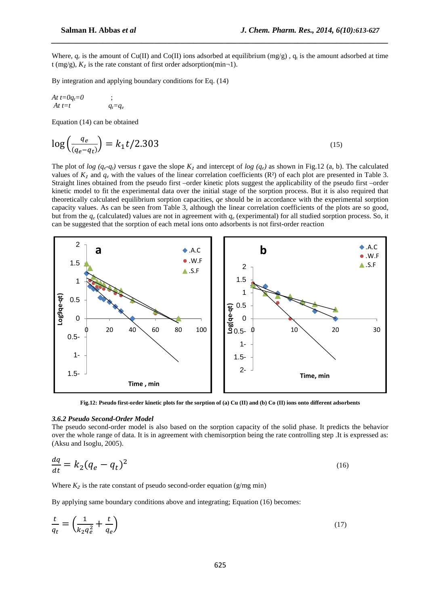Where,  $q_e$  is the amount of Cu(II) and Co(II) ions adsorbed at equilibrium (mg/g),  $q_t$  is the amount adsorbed at time t (mg/g),  $K_1$  is the rate constant of first order adsorption(min-1).

*\_\_\_\_\_\_\_\_\_\_\_\_\_\_\_\_\_\_\_\_\_\_\_\_\_\_\_\_\_\_\_\_\_\_\_\_\_\_\_\_\_\_\_\_\_\_\_\_\_\_\_\_\_\_\_\_\_\_\_\_\_\_\_\_\_\_\_\_\_\_\_\_\_\_\_\_\_\_*

By integration and applying boundary conditions for Eq. (14)

$$
At t=0q_t=0 ;At t=t q_t=q_e
$$

Equation (14) can be obtained

$$
\log\left(\frac{q_e}{(q_e - q_t)}\right) = k_1 t / 2.303\tag{15}
$$

The plot of  $log (q_e - q_t)$  versus *t* gave the slope  $K_I$  and intercept of  $log (q_e)$  as shown in Fig.12 (a, b). The calculated values of  $K_1$  and  $q_e$  with the values of the linear correlation coefficients ( $\mathbb{R}^2$ ) of each plot are presented in Table 3. Straight lines obtained from the pseudo first –order kinetic plots suggest the applicability of the pseudo first –order kinetic model to fit the experimental data over the initial stage of the sorption process. But it is also required that theoretically calculated equilibrium sorption capacities, *qe* should be in accordance with the experimental sorption capacity values. As can be seen from Table 3, although the linear correlation coefficients of the plots are so good, but from the  $q_e$  (calculated) values are not in agreement with  $q_e$  (experimental) for all studied sorption process. So, it can be suggested that the sorption of each metal ions onto adsorbents is not first-order reaction

![](_page_12_Figure_8.jpeg)

**Fig.12: Pseudo first-order kinetic plots for the sorption of (a) Cu (II) and (b) Co (II) ions onto different adsorbents** 

#### *3.6.2 Pseudo Second-Order Model*

The pseudo second-order model is also based on the sorption capacity of the solid phase. It predicts the behavior over the whole range of data. It is in agreement with chemisorption being the rate controlling step .It is expressed as: (Aksu and Isoglu, 2005).

$$
\frac{dq}{dt} = k_2 (q_e - q_t)^2 \tag{16}
$$

Where  $K_2$  is the rate constant of pseudo second-order equation (g/mg min)

By applying same boundary conditions above and integrating; Equation (16) becomes:

$$
\frac{t}{q_t} = \left(\frac{1}{k_2 q_e^2} + \frac{t}{q_e}\right) \tag{17}
$$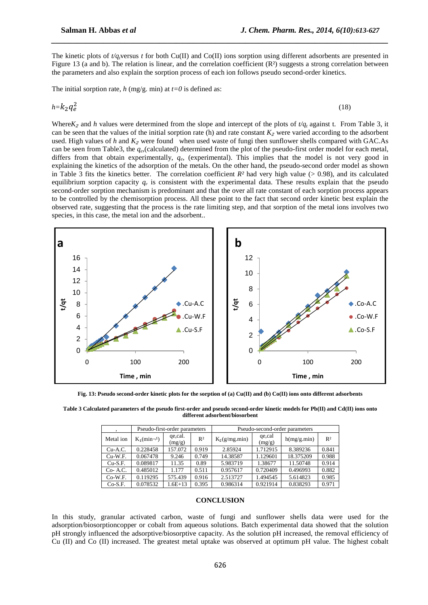The kinetic plots of  $t/q$ <sup>*t*</sup>versus *t* for both Cu(II) and Co(II) ions sorption using different adsorbents are presented in Figure 13 (a and b). The relation is linear, and the correlation coefficient  $(R<sup>2</sup>)$  suggests a strong correlation between the parameters and also explain the sorption process of each ion follows pseudo second-order kinetics.

*\_\_\_\_\_\_\_\_\_\_\_\_\_\_\_\_\_\_\_\_\_\_\_\_\_\_\_\_\_\_\_\_\_\_\_\_\_\_\_\_\_\_\_\_\_\_\_\_\_\_\_\_\_\_\_\_\_\_\_\_\_\_\_\_\_\_\_\_\_\_\_\_\_\_\_\_\_\_*

The initial sorption rate,  $h$  (mg/g. min) at  $t=0$  is defined as:

$$
h = k_2 q_e^2 \tag{18}
$$

Where $K_2$  and *h* values were determined from the slope and intercept of the plots of  $t/q_t$  against t. From Table 3, it can be seen that the values of the initial sorption rate (h) and rate constant  $K_2$  were varied according to the adsorbent used. High values of *h* and  $K<sub>2</sub>$  were found when used waste of fungi then sunflower shells compared with GAC.As can be seen from Table3, the *q<sup>e</sup>* ,(calculated) determined from the plot of the pseudo-first order model for each metal, differs from that obtain experimentally, *q<sup>e</sup>* , (experimental). This implies that the model is not very good in explaining the kinetics of the adsorption of the metals. On the other hand, the pseudo-second order model as shown in Table 3 fits the kinetics better. The correlation coefficient  $R<sup>2</sup>$  had very high value ( $> 0.98$ ), and its calculated equilibrium sorption capacity  $q_e$  is consistent with the experimental data. These results explain that the pseudo second-order sorption mechanism is predominant and that the over all rate constant of each sorption process appears to be controlled by the chemisorption process. All these point to the fact that second order kinetic best explain the observed rate, suggesting that the process is the rate limiting step, and that sorption of the metal ions involves two species, in this case, the metal ion and the adsorbent..

![](_page_13_Figure_6.jpeg)

**Fig. 13: Pseudo second-order kinetic plots for the sorption of (a) Cu(II) and (b) Co(II) ions onto different adsorbents** 

**Table 3 Calculated parameters of the pseudo first-order and pseudo second-order kinetic models for Pb(II) and Cd(II) ions onto different adsorbent/biosorbent** 

|            | Pseudo-first-order parameters    |                   | Pseudo-second-order parameters |                 |                  |             |                |
|------------|----------------------------------|-------------------|--------------------------------|-----------------|------------------|-------------|----------------|
| Metal ion  | $K_1$ (min $\neg$ <sup>1</sup> ) | qe,cal.<br>(mg/g) | R <sup>2</sup>                 | $K_2(g/mg.min)$ | qe,cal<br>(mg/g) | h(mg/g.min) | R <sup>2</sup> |
| $Cu-A.C.$  | 0.228458                         | 157.072           | 0.919                          | 2.85924         | 1.712915         | 8.389236    | 0.841          |
| $Cu-W.F.$  | 0.067478                         | 9.246             | 0.749                          | 14.38587        | 1.129601         | 18.375209   | 0.988          |
| $Cu-S.F.$  | 0.089817                         | 11.35             | 0.89                           | 5.983719        | 1.38677          | 11.50748    | 0.914          |
| $Co- A.C.$ | 0.485012                         | 1.177             | 0.511                          | 0.957617        | 0.720409         | 0.496993    | 0.882          |
| $Co-W.F.$  | 0.119295                         | 575.439           | 0.916                          | 2.513727        | 1.494545         | 5.614823    | 0.985          |
| $Co-S.F.$  | 0.078532                         | $1.6E + 13$       | 0.395                          | 0.986314        | 0.921914         | 0.838293    | 0.971          |

### **CONCLUSION**

In this study, granular activated carbon, waste of fungi and sunflower shells data were used for the adsorption/biosorptioncopper or cobalt from aqueous solutions. Batch experimental data showed that the solution pH strongly influenced the adsorptive/biosorptive capacity. As the solution pH increased, the removal efficiency of Cu (II) and Co (II) increased. The greatest metal uptake was observed at optimum pH value. The highest cobalt